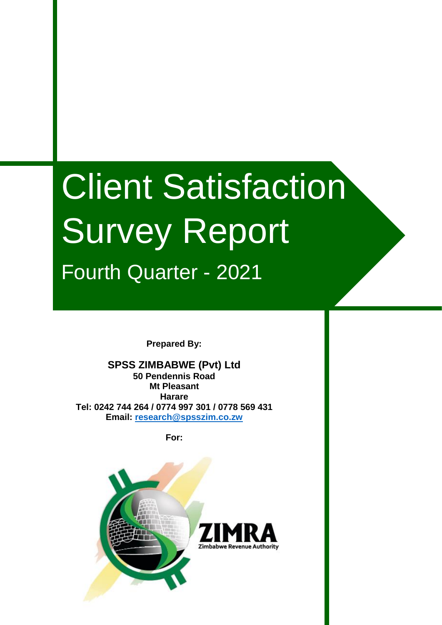# Client Satisfaction Survey Report Fourth Quarter - 2021

**Prepared By:**

**SPSS ZIMBABWE (Pvt) Ltd 50 Pendennis Road Mt Pleasant Harare Tel: 0242 744 264 / 0774 997 301 / 0778 569 431 Email: [research@spsszim.co.zw](mailto:research@spsszim.co.zw)**

**For:**

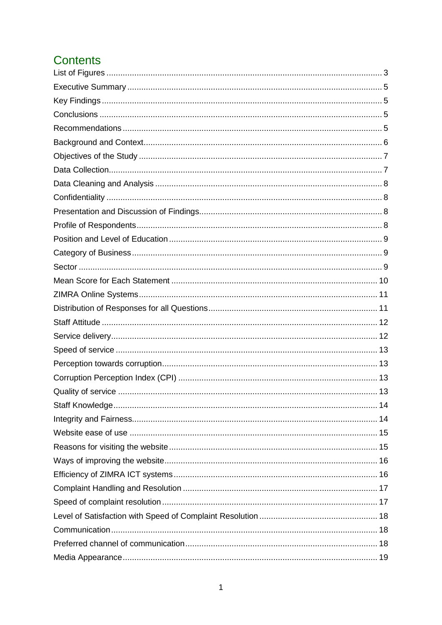# Contents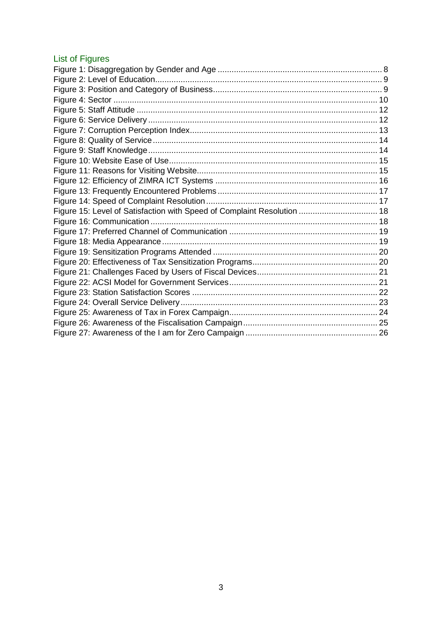## <span id="page-3-0"></span>List of Figures

| Figure 15: Level of Satisfaction with Speed of Complaint Resolution  18 |  |
|-------------------------------------------------------------------------|--|
|                                                                         |  |
|                                                                         |  |
|                                                                         |  |
|                                                                         |  |
|                                                                         |  |
|                                                                         |  |
|                                                                         |  |
|                                                                         |  |
|                                                                         |  |
|                                                                         |  |
|                                                                         |  |
|                                                                         |  |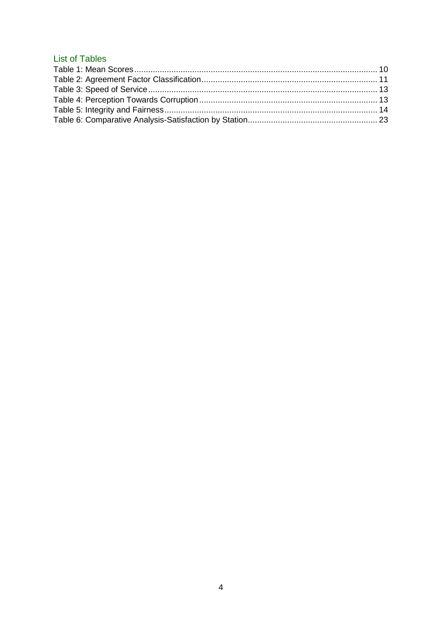## **List of Tables**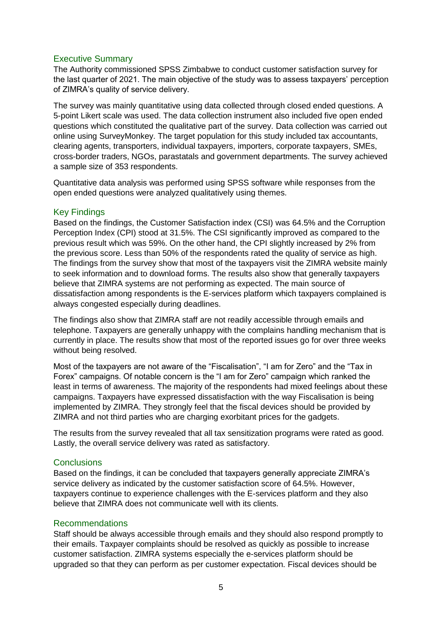## <span id="page-5-0"></span>Executive Summary

The Authority commissioned SPSS Zimbabwe to conduct customer satisfaction survey for the last quarter of 2021. The main objective of the study was to assess taxpayers' perception of ZIMRA's quality of service delivery.

The survey was mainly quantitative using data collected through closed ended questions. A 5-point Likert scale was used. The data collection instrument also included five open ended questions which constituted the qualitative part of the survey. Data collection was carried out online using SurveyMonkey. The target population for this study included tax accountants, clearing agents, transporters, individual taxpayers, importers, corporate taxpayers, SMEs, cross-border traders, NGOs, parastatals and government departments. The survey achieved a sample size of 353 respondents.

Quantitative data analysis was performed using SPSS software while responses from the open ended questions were analyzed qualitatively using themes.

## <span id="page-5-1"></span>Key Findings

Based on the findings, the Customer Satisfaction index (CSI) was 64.5% and the Corruption Perception Index (CPI) stood at 31.5%. The CSI significantly improved as compared to the previous result which was 59%. On the other hand, the CPI slightly increased by 2% from the previous score. Less than 50% of the respondents rated the quality of service as high. The findings from the survey show that most of the taxpayers visit the ZIMRA website mainly to seek information and to download forms. The results also show that generally taxpayers believe that ZIMRA systems are not performing as expected. The main source of dissatisfaction among respondents is the E-services platform which taxpayers complained is always congested especially during deadlines.

The findings also show that ZIMRA staff are not readily accessible through emails and telephone. Taxpayers are generally unhappy with the complains handling mechanism that is currently in place. The results show that most of the reported issues go for over three weeks without being resolved.

Most of the taxpayers are not aware of the "Fiscalisation", "I am for Zero" and the "Tax in Forex" campaigns. Of notable concern is the "I am for Zero" campaign which ranked the least in terms of awareness. The majority of the respondents had mixed feelings about these campaigns. Taxpayers have expressed dissatisfaction with the way Fiscalisation is being implemented by ZIMRA. They strongly feel that the fiscal devices should be provided by ZIMRA and not third parties who are charging exorbitant prices for the gadgets.

The results from the survey revealed that all tax sensitization programs were rated as good. Lastly, the overall service delivery was rated as satisfactory.

## <span id="page-5-2"></span>**Conclusions**

Based on the findings, it can be concluded that taxpayers generally appreciate ZIMRA's service delivery as indicated by the customer satisfaction score of 64.5%. However, taxpayers continue to experience challenges with the E-services platform and they also believe that ZIMRA does not communicate well with its clients.

#### <span id="page-5-3"></span>Recommendations

Staff should be always accessible through emails and they should also respond promptly to their emails. Taxpayer complaints should be resolved as quickly as possible to increase customer satisfaction. ZIMRA systems especially the e-services platform should be upgraded so that they can perform as per customer expectation. Fiscal devices should be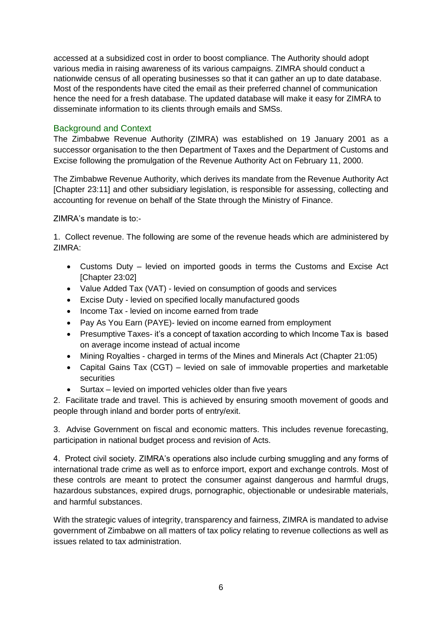accessed at a subsidized cost in order to boost compliance. The Authority should adopt various media in raising awareness of its various campaigns. ZIMRA should conduct a nationwide census of all operating businesses so that it can gather an up to date database. Most of the respondents have cited the email as their preferred channel of communication hence the need for a fresh database. The updated database will make it easy for ZIMRA to disseminate information to its clients through emails and SMSs.

## <span id="page-6-0"></span>Background and Context

The Zimbabwe Revenue Authority (ZIMRA) was established on 19 January 2001 as a successor organisation to the then Department of Taxes and the Department of Customs and Excise following the promulgation of the Revenue Authority Act on February 11, 2000.

The Zimbabwe Revenue Authority, which derives its mandate from the Revenue Authority Act [Chapter 23:11] and other subsidiary legislation, is responsible for assessing, collecting and accounting for revenue on behalf of the State through the Ministry of Finance.

ZIMRA's mandate is to:-

1. Collect revenue. The following are some of the revenue heads which are administered by ZIMRA:

- Customs Duty levied on imported goods in terms the Customs and Excise Act [Chapter 23:02]
- Value Added Tax (VAT) levied on consumption of goods and services
- Excise Duty levied on specified locally manufactured goods
- Income Tax levied on income earned from trade
- Pay As You Earn (PAYE)- levied on income earned from employment
- Presumptive Taxes- it's a concept of taxation according to which Income Tax is based on average income instead of actual income
- Mining Royalties charged in terms of the Mines and Minerals Act (Chapter 21:05)
- Capital Gains Tax (CGT) levied on sale of immovable properties and marketable **securities**
- Surtax levied on imported vehicles older than five years

2. Facilitate trade and travel. This is achieved by ensuring smooth movement of goods and people through inland and border ports of entry/exit.

3. Advise Government on fiscal and economic matters. This includes revenue forecasting, participation in national budget process and revision of Acts.

4. Protect civil society. ZIMRA's operations also include curbing smuggling and any forms of international trade crime as well as to enforce import, export and exchange controls. Most of these controls are meant to protect the consumer against dangerous and harmful drugs, hazardous substances, expired drugs, pornographic, objectionable or undesirable materials, and harmful substances.

With the strategic values of integrity, transparency and fairness, ZIMRA is mandated to advise government of Zimbabwe on all matters of tax policy relating to revenue collections as well as issues related to tax administration.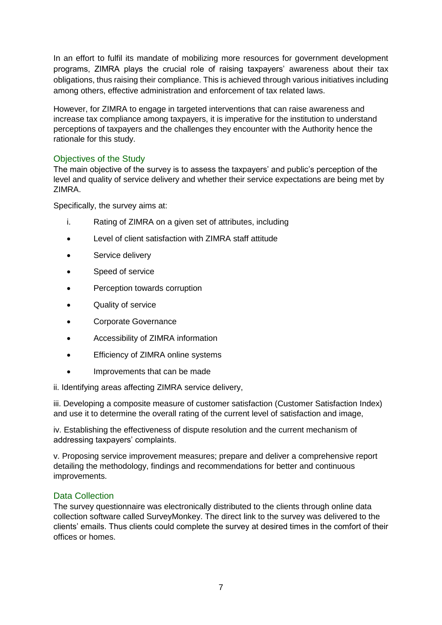In an effort to fulfil its mandate of mobilizing more resources for government development programs, ZIMRA plays the crucial role of raising taxpayers' awareness about their tax obligations, thus raising their compliance. This is achieved through various initiatives including among others, effective administration and enforcement of tax related laws.

However, for ZIMRA to engage in targeted interventions that can raise awareness and increase tax compliance among taxpayers, it is imperative for the institution to understand perceptions of taxpayers and the challenges they encounter with the Authority hence the rationale for this study.

## <span id="page-7-0"></span>Objectives of the Study

The main objective of the survey is to assess the taxpayers' and public's perception of the level and quality of service delivery and whether their service expectations are being met by ZIMRA.

Specifically, the survey aims at:

- i. Rating of ZIMRA on a given set of attributes, including
- Level of client satisfaction with ZIMRA staff attitude
- **•** Service delivery
- Speed of service
- Perception towards corruption
- Quality of service
- Corporate Governance
- Accessibility of ZIMRA information
- **•** Efficiency of ZIMRA online systems
- Improvements that can be made

ii. Identifying areas affecting ZIMRA service delivery,

iii. Developing a composite measure of customer satisfaction (Customer Satisfaction Index) and use it to determine the overall rating of the current level of satisfaction and image,

iv. Establishing the effectiveness of dispute resolution and the current mechanism of addressing taxpayers' complaints.

v. Proposing service improvement measures; prepare and deliver a comprehensive report detailing the methodology, findings and recommendations for better and continuous improvements.

#### <span id="page-7-1"></span>Data Collection

The survey questionnaire was electronically distributed to the clients through online data collection software called SurveyMonkey. The direct link to the survey was delivered to the clients' emails. Thus clients could complete the survey at desired times in the comfort of their offices or homes.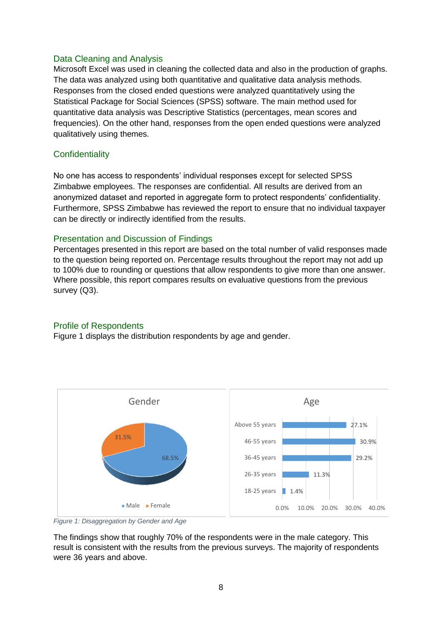#### <span id="page-8-0"></span>Data Cleaning and Analysis

Microsoft Excel was used in cleaning the collected data and also in the production of graphs. The data was analyzed using both quantitative and qualitative data analysis methods. Responses from the closed ended questions were analyzed quantitatively using the Statistical Package for Social Sciences (SPSS) software. The main method used for quantitative data analysis was Descriptive Statistics (percentages, mean scores and frequencies). On the other hand, responses from the open ended questions were analyzed qualitatively using themes.

## <span id="page-8-1"></span>**Confidentiality**

No one has access to respondents' individual responses except for selected SPSS Zimbabwe employees. The responses are confidential. All results are derived from an anonymized dataset and reported in aggregate form to protect respondents' confidentiality. Furthermore, SPSS Zimbabwe has reviewed the report to ensure that no individual taxpayer can be directly or indirectly identified from the results.

## <span id="page-8-2"></span>Presentation and Discussion of Findings

Percentages presented in this report are based on the total number of valid responses made to the question being reported on. Percentage results throughout the report may not add up to 100% due to rounding or questions that allow respondents to give more than one answer. Where possible, this report compares results on evaluative questions from the previous survey (Q3).

#### <span id="page-8-3"></span>Profile of Respondents

Figure 1 displays the distribution respondents by age and gender.



<span id="page-8-4"></span>

The findings show that roughly 70% of the respondents were in the male category. This result is consistent with the results from the previous surveys. The majority of respondents were 36 years and above.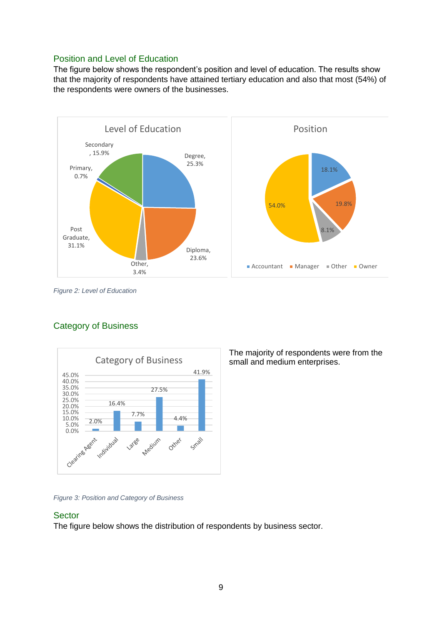## <span id="page-9-0"></span>Position and Level of Education

The figure below shows the respondent's position and level of education. The results show that the majority of respondents have attained tertiary education and also that most (54%) of the respondents were owners of the businesses.



<span id="page-9-3"></span>*Figure 2: Level of Education*

## <span id="page-9-1"></span>Category of Business



<span id="page-9-4"></span>*Figure 3: Position and Category of Business*

#### <span id="page-9-2"></span>**Sector**

The figure below shows the distribution of respondents by business sector.

The majority of respondents were from the small and medium enterprises.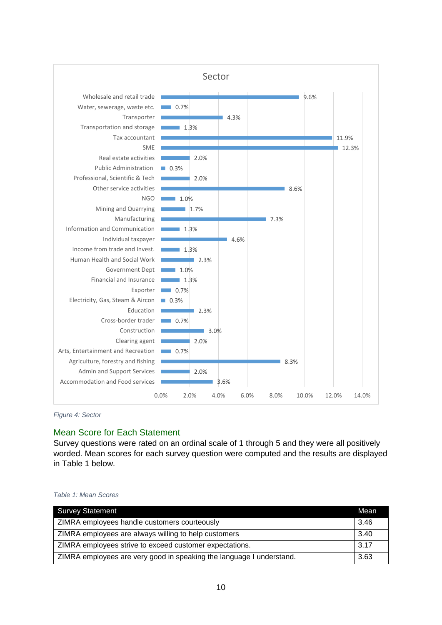

<span id="page-10-1"></span>*Figure 4: Sector*

#### <span id="page-10-0"></span>Mean Score for Each Statement

Survey questions were rated on an ordinal scale of 1 through 5 and they were all positively worded. Mean scores for each survey question were computed and the results are displayed in Table 1 below.

<span id="page-10-2"></span>

|  |  |  | Table 1: Mean Scores |
|--|--|--|----------------------|
|--|--|--|----------------------|

| <b>Survey Statement</b>                                              | Mean |
|----------------------------------------------------------------------|------|
| ZIMRA employees handle customers courteously                         | 3.46 |
| ZIMRA employees are always willing to help customers                 | 3.40 |
| ZIMRA employees strive to exceed customer expectations.              | 3.17 |
| ZIMRA employees are very good in speaking the language I understand. | 3.63 |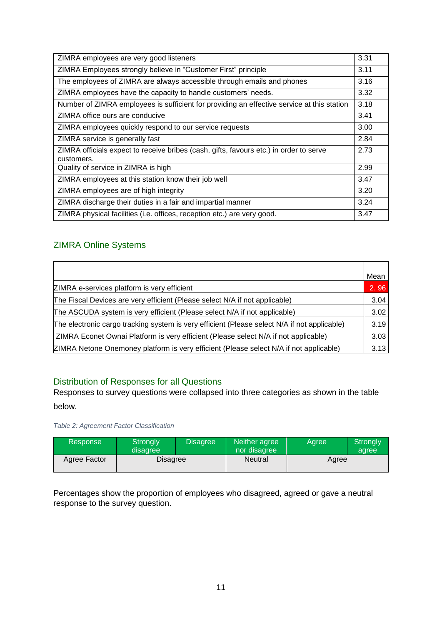| ZIMRA employees are very good listeners                                                              | 3.31 |
|------------------------------------------------------------------------------------------------------|------|
| ZIMRA Employees strongly believe in "Customer First" principle                                       | 3.11 |
| The employees of ZIMRA are always accessible through emails and phones                               | 3.16 |
| ZIMRA employees have the capacity to handle customers' needs.                                        | 3.32 |
| Number of ZIMRA employees is sufficient for providing an effective service at this station           | 3.18 |
| ZIMRA office ours are conducive                                                                      | 3.41 |
| ZIMRA employees quickly respond to our service requests                                              | 3.00 |
| ZIMRA service is generally fast                                                                      | 2.84 |
| ZIMRA officials expect to receive bribes (cash, gifts, favours etc.) in order to serve<br>customers. | 2.73 |
| Quality of service in ZIMRA is high                                                                  | 2.99 |
| ZIMRA employees at this station know their job well                                                  | 3.47 |
| ZIMRA employees are of high integrity                                                                | 3.20 |
| ZIMRA discharge their duties in a fair and impartial manner                                          | 3.24 |
| ZIMRA physical facilities (i.e. offices, reception etc.) are very good.                              | 3.47 |

## <span id="page-11-0"></span>ZIMRA Online Systems

|                                                                                              | Mean |
|----------------------------------------------------------------------------------------------|------|
| ZIMRA e-services platform is very efficient                                                  | 2.96 |
| The Fiscal Devices are very efficient (Please select N/A if not applicable)                  | 3.04 |
| The ASCUDA system is very efficient (Please select N/A if not applicable)                    | 3.02 |
| The electronic cargo tracking system is very efficient (Please select N/A if not applicable) | 3.19 |
| ZIMRA Econet Ownai Platform is very efficient (Please select N/A if not applicable)          | 3.03 |
| ZIMRA Netone Onemoney platform is very efficient (Please select N/A if not applicable)       | 3.13 |

## <span id="page-11-1"></span>Distribution of Responses for all Questions

Responses to survey questions were collapsed into three categories as shown in the table below.

<span id="page-11-2"></span>*Table 2: Agreement Factor Classification*

| Response     | Strongly<br>disagree | <b>Disagree</b> | Neither agree<br>nor disagree | Aaree | <b>Strongly</b><br>agree |
|--------------|----------------------|-----------------|-------------------------------|-------|--------------------------|
| Agree Factor | <b>Disagree</b>      |                 | Neutral                       | Agree |                          |

Percentages show the proportion of employees who disagreed, agreed or gave a neutral response to the survey question.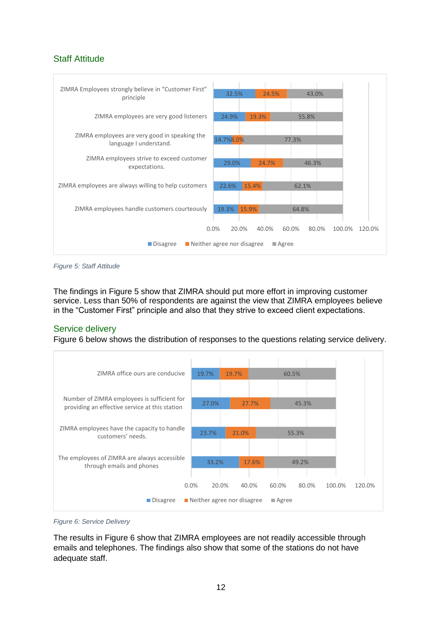## <span id="page-12-0"></span>Staff Attitude



<span id="page-12-2"></span>*Figure 5: Staff Attitude*

The findings in Figure 5 show that ZIMRA should put more effort in improving customer service. Less than 50% of respondents are against the view that ZIMRA employees believe in the "Customer First" principle and also that they strive to exceed client expectations.

## <span id="page-12-1"></span>Service delivery

Figure 6 below shows the distribution of responses to the questions relating service delivery.



<span id="page-12-3"></span>

The results in Figure 6 show that ZIMRA employees are not readily accessible through emails and telephones. The findings also show that some of the stations do not have adequate staff.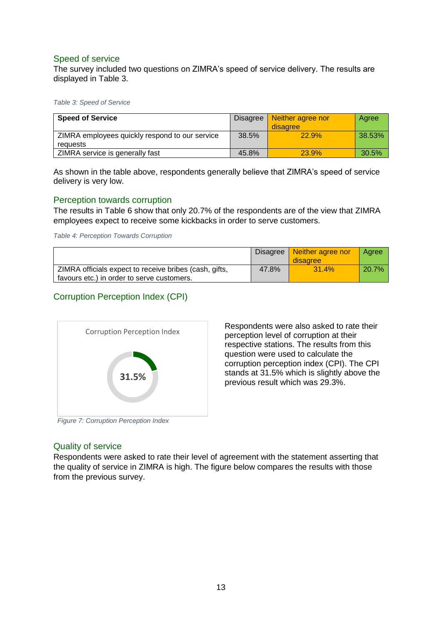## <span id="page-13-0"></span>Speed of service

The survey included two questions on ZIMRA's speed of service delivery. The results are displayed in Table 3.

<span id="page-13-5"></span>*Table 3: Speed of Service*

| <b>Speed of Service</b>                                    | Disagree | Neither agree nor<br>disagree | Agree  |
|------------------------------------------------------------|----------|-------------------------------|--------|
| ZIMRA employees quickly respond to our service<br>reauests | $38.5\%$ | 22.9%                         | 38.53% |
| ZIMRA service is generally fast                            | 45.8%    | 23.9%                         | 30.5%  |

As shown in the table above, respondents generally believe that ZIMRA's speed of service delivery is very low.

#### <span id="page-13-1"></span>Perception towards corruption

The results in Table 6 show that only 20.7% of the respondents are of the view that ZIMRA employees expect to receive some kickbacks in order to serve customers.

<span id="page-13-6"></span>*Table 4: Perception Towards Corruption*

|                                                                                                      |       | Disagree   Neither agree nor<br>disagree | Aaree    |
|------------------------------------------------------------------------------------------------------|-------|------------------------------------------|----------|
| ZIMRA officials expect to receive bribes (cash, gifts,<br>favours etc.) in order to serve customers. | 47.8% | 31.4%                                    | $20.7\%$ |

## <span id="page-13-2"></span>Corruption Perception Index (CPI)



Respondents were also asked to rate their perception level of corruption at their respective stations. The results from this question were used to calculate the corruption perception index (CPI). The CPI stands at 31.5% which is slightly above the previous result which was 29.3%.

## <span id="page-13-4"></span><span id="page-13-3"></span>Quality of service

Respondents were asked to rate their level of agreement with the statement asserting that the quality of service in ZIMRA is high. The figure below compares the results with those from the previous survey.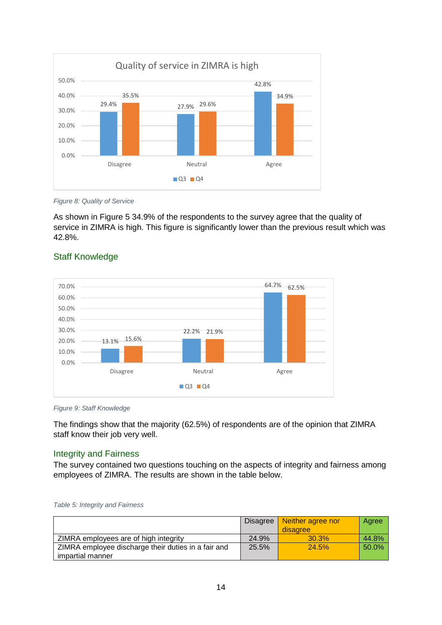

<span id="page-14-2"></span>*Figure 8: Quality of Service*

As shown in Figure 5 34.9% of the respondents to the survey agree that the quality of service in ZIMRA is high. This figure is significantly lower than the previous result which was 42.8%.



## <span id="page-14-0"></span>Staff Knowledge

<span id="page-14-3"></span>*Figure 9: Staff Knowledge*

The findings show that the majority (62.5%) of respondents are of the opinion that ZIMRA staff know their job very well.

## <span id="page-14-1"></span>Integrity and Fairness

The survey contained two questions touching on the aspects of integrity and fairness among employees of ZIMRA. The results are shown in the table below.

<span id="page-14-4"></span>

|  |  | Table 5: Integrity and Fairness |
|--|--|---------------------------------|
|--|--|---------------------------------|

|                                                     | Disagree | Neither agree nor | Agree |
|-----------------------------------------------------|----------|-------------------|-------|
|                                                     |          | disagree          |       |
| ZIMRA employees are of high integrity               | 24.9%    | 30.3%             | 44.8% |
| ZIMRA employee discharge their duties in a fair and | 25.5%    | 24.5%             | 50.0% |
| impartial manner                                    |          |                   |       |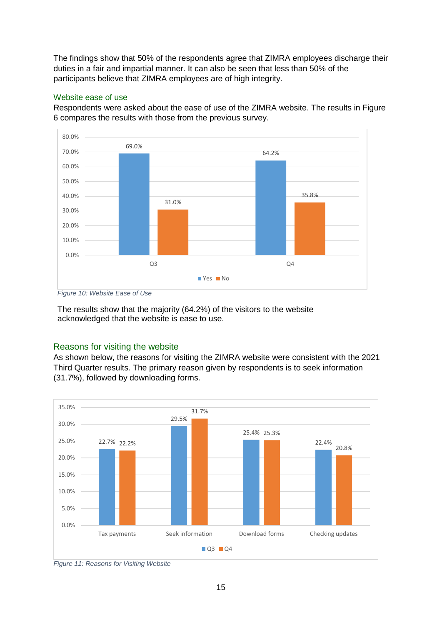The findings show that 50% of the respondents agree that ZIMRA employees discharge their duties in a fair and impartial manner. It can also be seen that less than 50% of the participants believe that ZIMRA employees are of high integrity.

#### <span id="page-15-0"></span>Website ease of use

Respondents were asked about the ease of use of the ZIMRA website. The results in Figure 6 compares the results with those from the previous survey.



<span id="page-15-2"></span>*Figure 10: Website Ease of Use*

The results show that the majority (64.2%) of the visitors to the website acknowledged that the website is ease to use.

## <span id="page-15-1"></span>Reasons for visiting the website

As shown below, the reasons for visiting the ZIMRA website were consistent with the 2021 Third Quarter results. The primary reason given by respondents is to seek information (31.7%), followed by downloading forms.



<span id="page-15-3"></span>*Figure 11: Reasons for Visiting Website*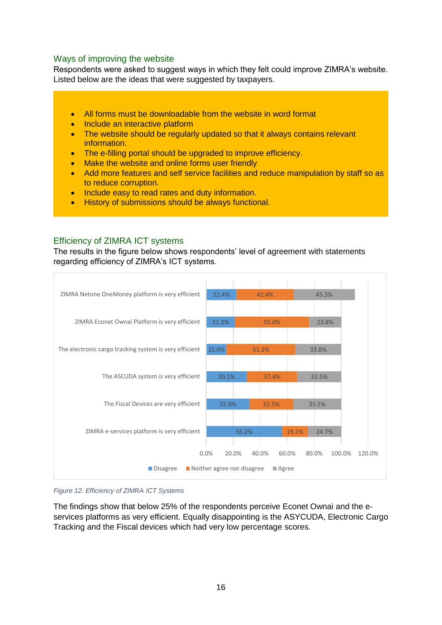## <span id="page-16-0"></span>Ways of improving the website

Respondents were asked to suggest ways in which they felt could improve ZIMRA's website. Listed below are the ideas that were suggested by taxpayers.

- All forms must be downloadable from the website in word format
- Include an interactive platform
- The website should be regularly updated so that it always contains relevant information.
- The e-filling portal should be upgraded to improve efficiency.
- Make the website and online forms user friendly
- Add more features and self service facilities and reduce manipulation by staff so as to reduce corruption.
- Include easy to read rates and duty information.
- **History of submissions should be always functional.**

## <span id="page-16-1"></span>Efficiency of ZIMRA ICT systems

The results in the figure below shows respondents' level of agreement with statements regarding efficiency of ZIMRA's ICT systems.



<span id="page-16-2"></span>*Figure 12: Efficiency of ZIMRA ICT Systems*

The findings show that below 25% of the respondents perceive Econet Ownai and the eservices platforms as very efficient. Equally disappointing is the ASYCUDA, Electronic Cargo Tracking and the Fiscal devices which had very low percentage scores.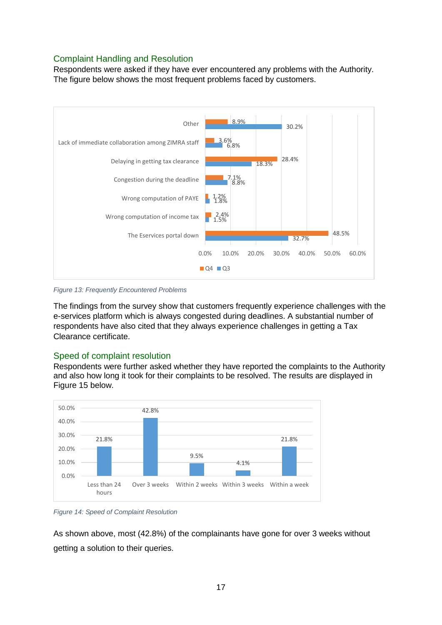## <span id="page-17-0"></span>Complaint Handling and Resolution

Respondents were asked if they have ever encountered any problems with the Authority. The figure below shows the most frequent problems faced by customers.



<span id="page-17-2"></span>*Figure 13: Frequently Encountered Problems*

The findings from the survey show that customers frequently experience challenges with the e-services platform which is always congested during deadlines. A substantial number of respondents have also cited that they always experience challenges in getting a Tax Clearance certificate.

## <span id="page-17-1"></span>Speed of complaint resolution

Respondents were further asked whether they have reported the complaints to the Authority and also how long it took for their complaints to be resolved. The results are displayed in Figure 15 below.



<span id="page-17-3"></span>*Figure 14: Speed of Complaint Resolution*

As shown above, most (42.8%) of the complainants have gone for over 3 weeks without getting a solution to their queries.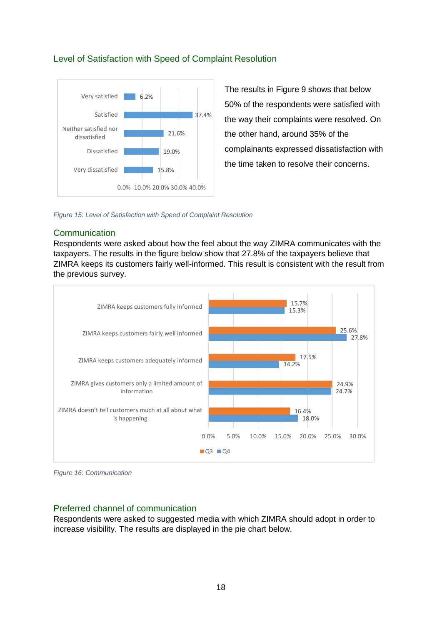

<span id="page-18-0"></span>Level of Satisfaction with Speed of Complaint Resolution

The results in Figure 9 shows that below 50% of the respondents were satisfied with the way their complaints were resolved. On the other hand, around 35% of the complainants expressed dissatisfaction with the time taken to resolve their concerns.

<span id="page-18-3"></span>*Figure 15: Level of Satisfaction with Speed of Complaint Resolution*

## <span id="page-18-1"></span>**Communication**

Respondents were asked about how the feel about the way ZIMRA communicates with the taxpayers. The results in the figure below show that 27.8% of the taxpayers believe that ZIMRA keeps its customers fairly well-informed. This result is consistent with the result from the previous survey.



<span id="page-18-4"></span>

## <span id="page-18-2"></span>Preferred channel of communication

Respondents were asked to suggested media with which ZIMRA should adopt in order to increase visibility. The results are displayed in the pie chart below.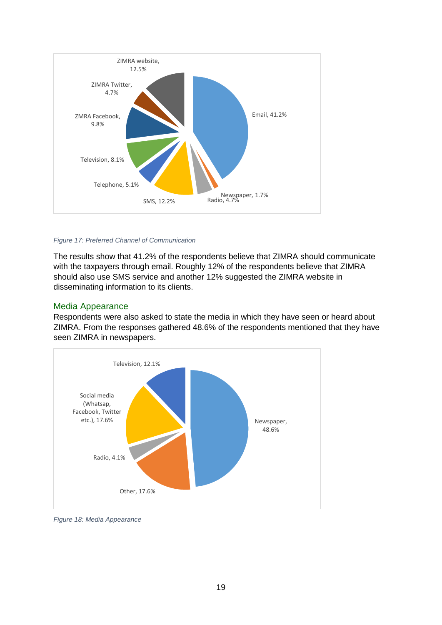

#### <span id="page-19-1"></span>*Figure 17: Preferred Channel of Communication*

The results show that 41.2% of the respondents believe that ZIMRA should communicate with the taxpayers through email. Roughly 12% of the respondents believe that ZIMRA should also use SMS service and another 12% suggested the ZIMRA website in disseminating information to its clients.

#### <span id="page-19-0"></span>Media Appearance

Respondents were also asked to state the media in which they have seen or heard about ZIMRA. From the responses gathered 48.6% of the respondents mentioned that they have seen ZIMRA in newspapers.



<span id="page-19-2"></span>*Figure 18: Media Appearance*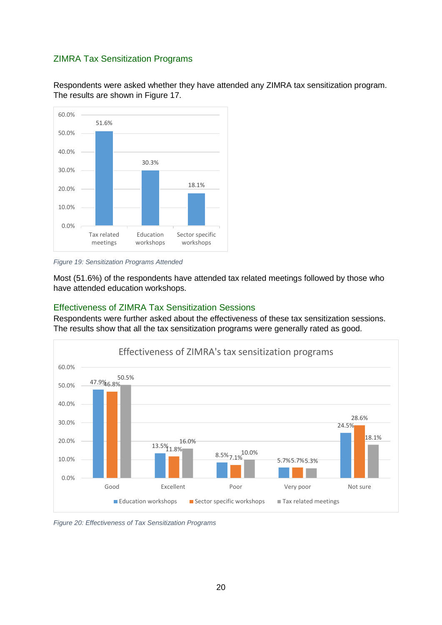## <span id="page-20-0"></span>ZIMRA Tax Sensitization Programs

Respondents were asked whether they have attended any ZIMRA tax sensitization program. The results are shown in Figure 17.



<span id="page-20-2"></span>*Figure 19: Sensitization Programs Attended*

Most (51.6%) of the respondents have attended tax related meetings followed by those who have attended education workshops.

## <span id="page-20-1"></span>Effectiveness of ZIMRA Tax Sensitization Sessions

Respondents were further asked about the effectiveness of these tax sensitization sessions. The results show that all the tax sensitization programs were generally rated as good.



<span id="page-20-3"></span>*Figure 20: Effectiveness of Tax Sensitization Programs*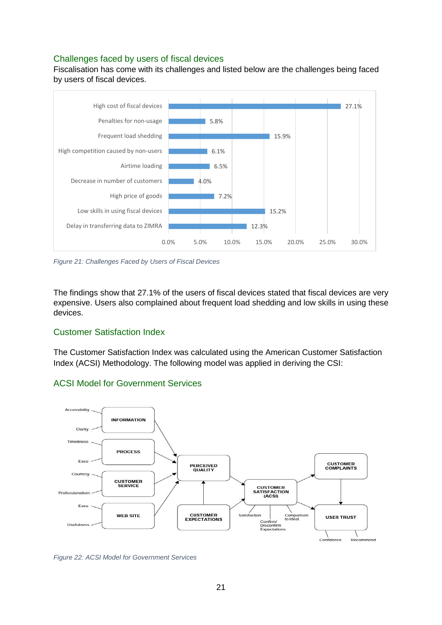## <span id="page-21-0"></span>Challenges faced by users of fiscal devices

Fiscalisation has come with its challenges and listed below are the challenges being faced by users of fiscal devices.



<span id="page-21-3"></span>*Figure 21: Challenges Faced by Users of Fiscal Devices*

The findings show that 27.1% of the users of fiscal devices stated that fiscal devices are very expensive. Users also complained about frequent load shedding and low skills in using these devices.

## <span id="page-21-1"></span>Customer Satisfaction Index

The Customer Satisfaction Index was calculated using the American Customer Satisfaction Index (ACSI) Methodology. The following model was applied in deriving the CSI:

## <span id="page-21-2"></span>ACSI Model for Government Services



<span id="page-21-4"></span>*Figure 22: ACSI Model for Government Services*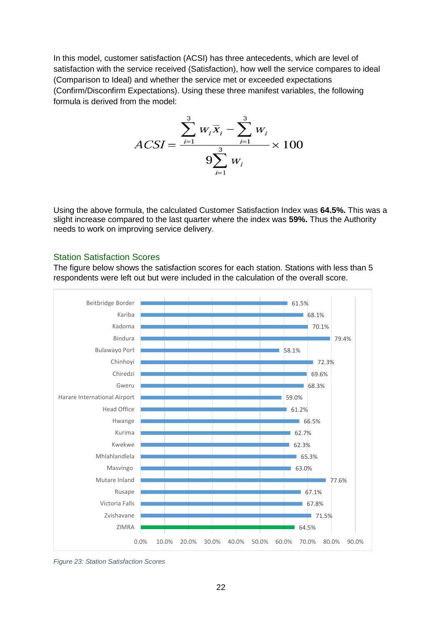In this model, customer satisfaction (ACSI) has three antecedents, which are level of satisfaction with the service received (Satisfaction), how well the service compares to ideal (Comparison to Ideal) and whether the service met or exceeded expectations (Confirm/Disconfirm Expectations). Using these three manifest variables, the following formula is derived from the model:

$$
ACSI = \frac{\sum_{i=1}^{3} w_i \overline{x}_i - \sum_{i=1}^{3} w_i}{9 \sum_{i=1}^{3} w_i} \times 100
$$

Using the above formula, the calculated Customer Satisfaction Index was **64.5%.** This was a slight increase compared to the last quarter where the index was **59%.** Thus the Authority needs to work on improving service delivery.

#### <span id="page-22-0"></span>Station Satisfaction Scores

The figure below shows the satisfaction scores for each station. Stations with less than 5 respondents were left out but were included in the calculation of the overall score.



<span id="page-22-1"></span>*Figure 23: Station Satisfaction Scores*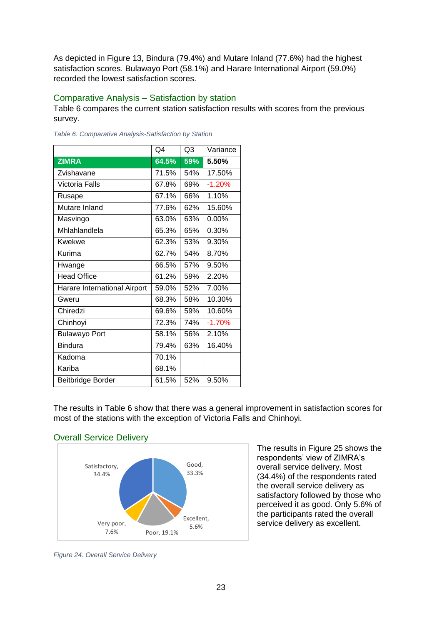As depicted in Figure 13, Bindura (79.4%) and Mutare Inland (77.6%) had the highest satisfaction scores. Bulawayo Port (58.1%) and Harare International Airport (59.0%) recorded the lowest satisfaction scores.

### <span id="page-23-0"></span>Comparative Analysis – Satisfaction by station

Table 6 compares the current station satisfaction results with scores from the previous survey.

|                              | Q4    | Q <sub>3</sub> | Variance |
|------------------------------|-------|----------------|----------|
| <b>ZIMRA</b>                 | 64.5% | 59%            | 5.50%    |
| Zvishavane                   | 71.5% | 54%            | 17.50%   |
| Victoria Falls               | 67.8% | 69%            | $-1.20%$ |
| Rusape                       | 67.1% | 66%            | 1.10%    |
| Mutare Inland                | 77.6% | 62%            | 15.60%   |
| Masvingo                     | 63.0% | 63%            | $0.00\%$ |
| Mhlahlandlela                | 65.3% | 65%            | 0.30%    |
| <b>Kwekwe</b>                | 62.3% | 53%            | 9.30%    |
| Kurima                       | 62.7% | 54%            | 8.70%    |
| Hwange                       | 66.5% | 57%            | 9.50%    |
| <b>Head Office</b>           | 61.2% | 59%            | 2.20%    |
| Harare International Airport | 59.0% | 52%            | 7.00%    |
| Gweru                        | 68.3% | 58%            | 10.30%   |
| Chiredzi                     | 69.6% | 59%            | 10.60%   |
| Chinhoyi                     | 72.3% | 74%            | $-1.70%$ |
| <b>Bulawayo Port</b>         | 58.1% | 56%            | 2.10%    |
| <b>Bindura</b>               | 79.4% | 63%            | 16.40%   |
| Kadoma                       | 70.1% |                |          |
| Kariba                       | 68.1% |                |          |
| Beitbridge Border            | 61.5% | 52%            | 9.50%    |

<span id="page-23-3"></span>*Table 6: Comparative Analysis-Satisfaction by Station*

The results in Table 6 show that there was a general improvement in satisfaction scores for most of the stations with the exception of Victoria Falls and Chinhoyi.

## <span id="page-23-1"></span>Overall Service Delivery



The results in Figure 25 shows the respondents' view of ZIMRA's overall service delivery. Most (34.4%) of the respondents rated the overall service delivery as satisfactory followed by those who perceived it as good. Only 5.6% of the participants rated the overall service delivery as excellent.

<span id="page-23-2"></span>*Figure 24: Overall Service Delivery*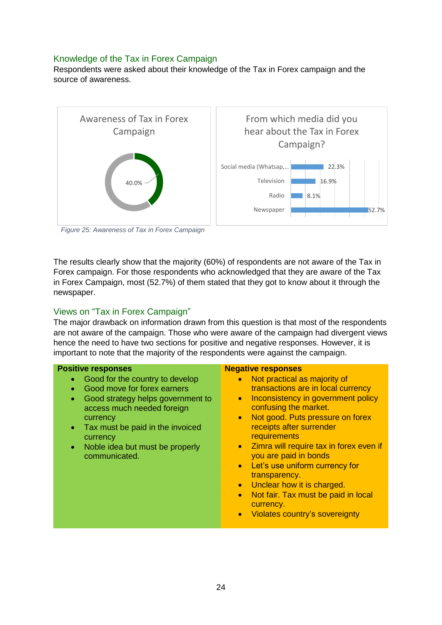## <span id="page-24-0"></span>Knowledge of the Tax in Forex Campaign

Respondents were asked about their knowledge of the Tax in Forex campaign and the source of awareness.



<span id="page-24-2"></span>*Figure 25: Awareness of Tax in Forex Campaign*

The results clearly show that the majority (60%) of respondents are not aware of the Tax in Forex campaign. For those respondents who acknowledged that they are aware of the Tax in Forex Campaign, most (52.7%) of them stated that they got to know about it through the newspaper.

## <span id="page-24-1"></span>Views on "Tax in Forex Campaign"

The major drawback on information drawn from this question is that most of the respondents are not aware of the campaign. Those who were aware of the campaign had divergent views hence the need to have two sections for positive and negative responses. However, it is important to note that the majority of the respondents were against the campaign.

#### **Positive responses**

- Good for the country to develop
- Good move for forex earners
- Good strategy helps government to access much needed foreign currency
- Tax must be paid in the invoiced currency
- Noble idea but must be properly communicated.

#### **Negative responses**

- Not practical as majority of transactions are in local currency
- Inconsistency in government policy confusing the market.
- Not good. Puts pressure on forex receipts after surrender **requirements**
- Zimra will require tax in forex even if you are paid in bonds
- Let's use uniform currency for transparency.
- Unclear how it is charged.
- **Not fair. Tax must be paid in local** currency.
- Violates country's sovereignty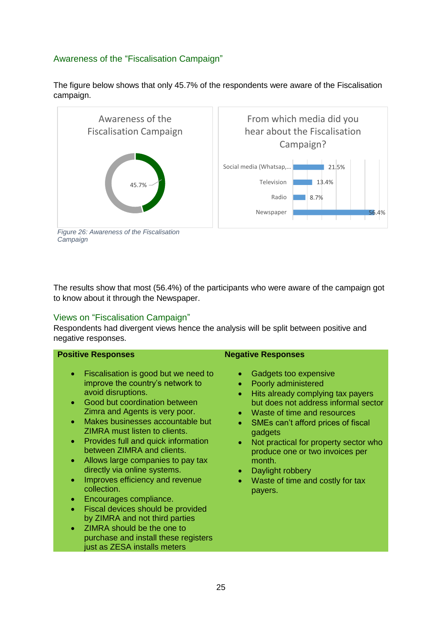## <span id="page-25-0"></span>Awareness of the "Fiscalisation Campaign"





<span id="page-25-2"></span>*Figure 26: Awareness of the Fiscalisation Campaign*

The results show that most (56.4%) of the participants who were aware of the campaign got to know about it through the Newspaper.

## <span id="page-25-1"></span>Views on "Fiscalisation Campaign"

Respondents had divergent views hence the analysis will be split between positive and negative responses.

| <b>Positive Responses</b>                                                                                                                                                                                                                                                                                                                                                                                                                                                                                                                                                                                                                                                                                                              | <b>Negative Responses</b>                                                                                                                                                                                                                                                                                                                                                                                                                                                  |
|----------------------------------------------------------------------------------------------------------------------------------------------------------------------------------------------------------------------------------------------------------------------------------------------------------------------------------------------------------------------------------------------------------------------------------------------------------------------------------------------------------------------------------------------------------------------------------------------------------------------------------------------------------------------------------------------------------------------------------------|----------------------------------------------------------------------------------------------------------------------------------------------------------------------------------------------------------------------------------------------------------------------------------------------------------------------------------------------------------------------------------------------------------------------------------------------------------------------------|
| Fiscalisation is good but we need to<br>$\bullet$<br>improve the country's network to<br>avoid disruptions.<br>Good but coordination between<br>$\bullet$<br>Zimra and Agents is very poor.<br>Makes businesses accountable but<br>$\bullet$<br>ZIMRA must listen to clients.<br>Provides full and quick information<br>۰<br>between ZIMRA and clients.<br>Allows large companies to pay tax<br>$\bullet$<br>directly via online systems.<br>Improves efficiency and revenue<br>۰<br>collection.<br>Encourages compliance.<br>۰<br>Fiscal devices should be provided<br>$\bullet$<br>by ZIMRA and not third parties<br>ZIMRA should be the one to<br>$\bullet$<br>purchase and install these registers<br>just as ZESA installs meters | Gadgets too expensive<br>$\bullet$<br>Poorly administered<br>$\bullet$<br>Hits already complying tax payers<br>$\bullet$<br>but does not address informal sector<br>Waste of time and resources<br>$\bullet$<br>SMEs can't afford prices of fiscal<br>$\bullet$<br>gadgets<br>Not practical for property sector who<br>$\bullet$<br>produce one or two invoices per<br>month.<br>Daylight robbery<br>$\bullet$<br>Waste of time and costly for tax<br>$\bullet$<br>payers. |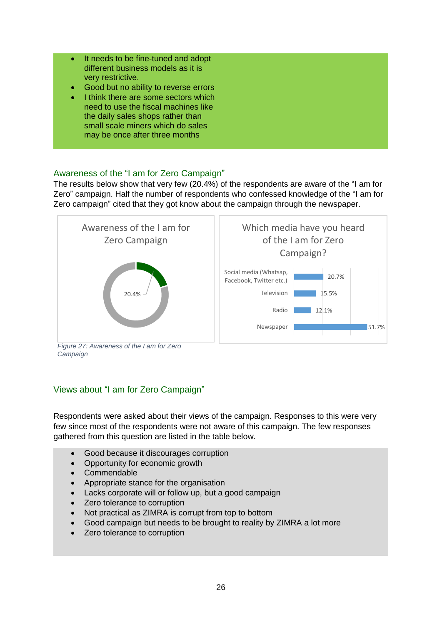- It needs to be fine-tuned and adopt different business models as it is very restrictive.
- Good but no ability to reverse errors
- I think there are some sectors which need to use the fiscal machines like the daily sales shops rather than small scale miners which do sales may be once after three months

## <span id="page-26-0"></span>Awareness of the "I am for Zero Campaign"

The results below show that very few (20.4%) of the respondents are aware of the "I am for Zero" campaign. Half the number of respondents who confessed knowledge of the "I am for Zero campaign" cited that they got know about the campaign through the newspaper.



<span id="page-26-2"></span>*Campaign*

## <span id="page-26-1"></span>Views about "I am for Zero Campaign"

Respondents were asked about their views of the campaign. Responses to this were very few since most of the respondents were not aware of this campaign. The few responses gathered from this question are listed in the table below.

- Good because it discourages corruption
- Opportunity for economic growth
- Commendable
- Appropriate stance for the organisation
- Lacks corporate will or follow up, but a good campaign
- Zero tolerance to corruption
- Not practical as ZIMRA is corrupt from top to bottom
- Good campaign but needs to be brought to reality by ZIMRA a lot more
- Zero tolerance to corruption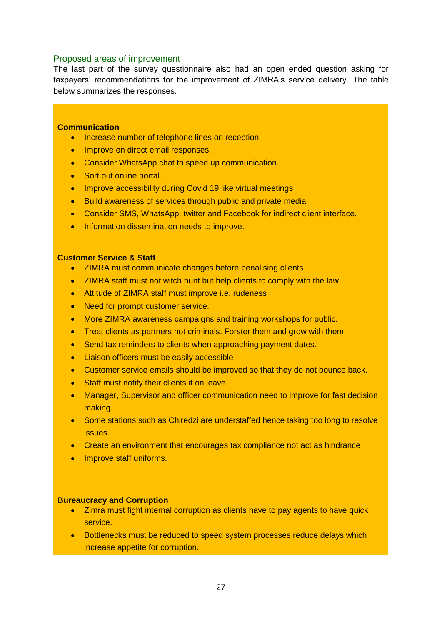#### <span id="page-27-0"></span>Proposed areas of improvement

The last part of the survey questionnaire also had an open ended question asking for taxpayers' recommendations for the improvement of ZIMRA's service delivery. The table below summarizes the responses.

#### **Communication**

- Increase number of telephone lines on reception
- **Improve on direct email responses.**
- Consider WhatsApp chat to speed up communication.
- Sort out online portal.
- Improve accessibility during Covid 19 like virtual meetings
- **Build awareness of services through public and private media**
- Consider SMS, WhatsApp, twitter and Facebook for indirect client interface.
- **Information dissemination needs to improve.**

#### **Customer Service & Staff**

- ZIMRA must communicate changes before penalising clients
- ZIMRA staff must not witch hunt but help clients to comply with the law
- Attitude of ZIMRA staff must improve *i.e.* rudeness
- Need for prompt customer service.
- More ZIMRA awareness campaigns and training workshops for public.
- Treat clients as partners not criminals. Forster them and grow with them
- Send tax reminders to clients when approaching payment dates.
- Liaison officers must be easily accessible
- Customer service emails should be improved so that they do not bounce back.
- Staff must notify their clients if on leave.
- Manager, Supervisor and officer communication need to improve for fast decision making.
- Some stations such as Chiredzi are understaffed hence taking too long to resolve issues.
- Create an environment that encourages tax compliance not act as hindrance
- Improve staff uniforms.

#### **Bureaucracy and Corruption**

- Zimra must fight internal corruption as clients have to pay agents to have quick service.
- **•** Bottlenecks must be reduced to speed system processes reduce delays which increase appetite for corruption.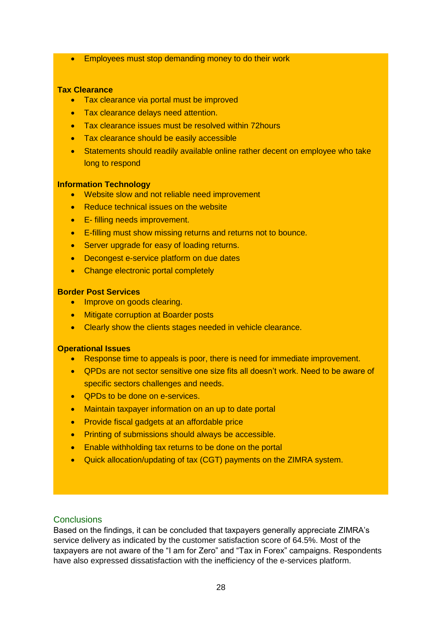**Employees must stop demanding money to do their work** 

#### **Tax Clearance**

- Tax clearance via portal must be improved
- Tax clearance delays need attention.
- Tax clearance issues must be resolved within 72 hours
- Tax clearance should be easily accessible
- Statements should readily available online rather decent on employee who take long to respond

#### **Information Technology**

- Website slow and not reliable need improvement
- Reduce technical issues on the website
- **E**-filling needs improvement.
- E-filling must show missing returns and returns not to bounce.
- Server upgrade for easy of loading returns.
- Decongest e-service platform on due dates
- Change electronic portal completely

#### **Border Post Services**

- Improve on goods clearing.
- Mitigate corruption at Boarder posts
- Clearly show the clients stages needed in vehicle clearance.

#### **Operational Issues**

- Response time to appeals is poor, there is need for immediate improvement.
- QPDs are not sector sensitive one size fits all doesn't work. Need to be aware of specific sectors challenges and needs.
- QPDs to be done on e-services.
- Maintain taxpayer information on an up to date portal
- Provide fiscal gadgets at an affordable price
- **•** Printing of submissions should always be accessible.
- **Enable withholding tax returns to be done on the portal**
- Quick allocation/updating of tax (CGT) payments on the ZIMRA system.

#### <span id="page-28-0"></span>**Conclusions**

Based on the findings, it can be concluded that taxpayers generally appreciate ZIMRA's service delivery as indicated by the customer satisfaction score of 64.5%. Most of the taxpayers are not aware of the "I am for Zero" and "Tax in Forex" campaigns. Respondents have also expressed dissatisfaction with the inefficiency of the e-services platform.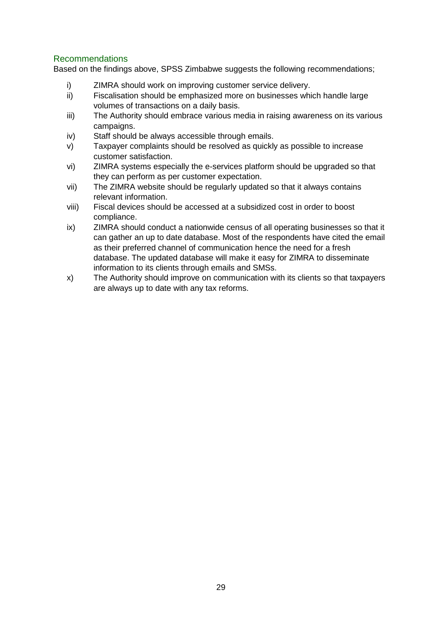## <span id="page-29-0"></span>Recommendations

Based on the findings above, SPSS Zimbabwe suggests the following recommendations;

- i) ZIMRA should work on improving customer service delivery.
- ii) Fiscalisation should be emphasized more on businesses which handle large volumes of transactions on a daily basis.
- iii) The Authority should embrace various media in raising awareness on its various campaigns.
- iv) Staff should be always accessible through emails.
- v) Taxpayer complaints should be resolved as quickly as possible to increase customer satisfaction.
- vi) ZIMRA systems especially the e-services platform should be upgraded so that they can perform as per customer expectation.
- vii) The ZIMRA website should be regularly updated so that it always contains relevant information.
- viii) Fiscal devices should be accessed at a subsidized cost in order to boost compliance.
- ix) ZIMRA should conduct a nationwide census of all operating businesses so that it can gather an up to date database. Most of the respondents have cited the email as their preferred channel of communication hence the need for a fresh database. The updated database will make it easy for ZIMRA to disseminate information to its clients through emails and SMSs.
- x) The Authority should improve on communication with its clients so that taxpayers are always up to date with any tax reforms.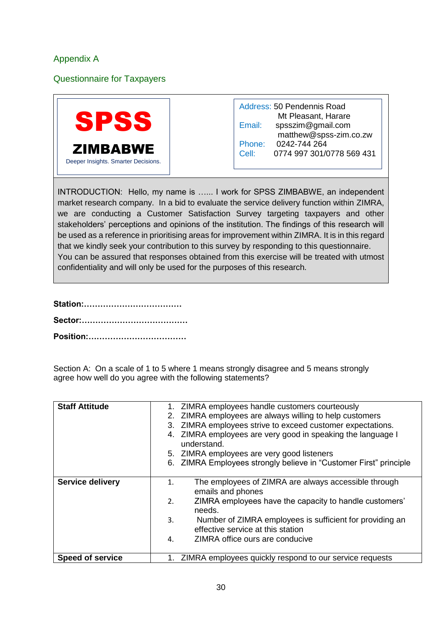## <span id="page-30-0"></span>Appendix A

<span id="page-30-1"></span>Questionnaire for Taxpayers



Address: 50 Pendennis Road Mt Pleasant, Harare Email: spsszim@gmail.com matthew@spss-zim.co.zw Phone: 0242-744 264 Cell: 0774 997 301/0778 569 431

INTRODUCTION: Hello, my name is …... I work for SPSS ZIMBABWE, an independent market research company. In a bid to evaluate the service delivery function within ZIMRA, we are conducting a Customer Satisfaction Survey targeting taxpayers and other stakeholders' perceptions and opinions of the institution. The findings of this research will be used as a reference in prioritising areas for improvement within ZIMRA. It is in this regard that we kindly seek your contribution to this survey by responding to this questionnaire. You can be assured that responses obtained from this exercise will be treated with utmost confidentiality and will only be used for the purposes of this research.

Section A: On a scale of 1 to 5 where 1 means strongly disagree and 5 means strongly agree how well do you agree with the following statements?

| <b>Staff Attitude</b>   | 1. ZIMRA employees handle customers courteously                                                     |
|-------------------------|-----------------------------------------------------------------------------------------------------|
|                         | 2. ZIMRA employees are always willing to help customers                                             |
|                         | 3. ZIMRA employees strive to exceed customer expectations.                                          |
|                         | 4. ZIMRA employees are very good in speaking the language I<br>understand.                          |
|                         | 5. ZIMRA employees are very good listeners                                                          |
|                         | 6. ZIMRA Employees strongly believe in "Customer First" principle                                   |
|                         |                                                                                                     |
| <b>Service delivery</b> | The employees of ZIMRA are always accessible through<br>1.<br>emails and phones                     |
|                         | ZIMRA employees have the capacity to handle customers'<br>2.<br>needs.                              |
|                         | Number of ZIMRA employees is sufficient for providing an<br>3.<br>effective service at this station |
|                         | ZIMRA office ours are conducive<br>4.                                                               |
| <b>Speed of service</b> | ZIMRA employees quickly respond to our service requests                                             |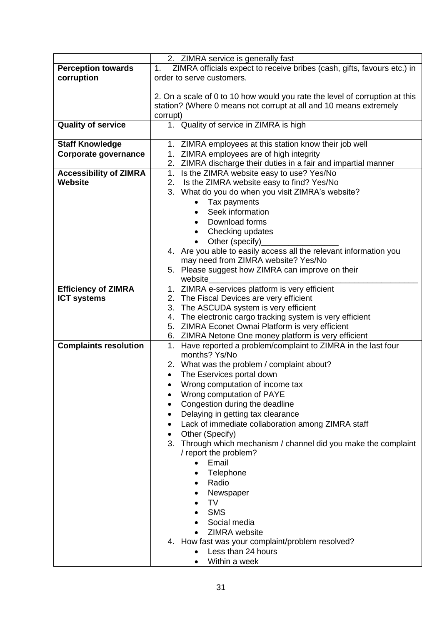| 2. ZIMRA service is generally fast<br>ZIMRA officials expect to receive bribes (cash, gifts, favours etc.) in<br><b>Perception towards</b><br>1.<br>corruption<br>order to serve customers.<br>2. On a scale of 0 to 10 how would you rate the level of corruption at this<br>station? (Where 0 means not corrupt at all and 10 means extremely<br>corrupt)<br>1. Quality of service in ZIMRA is high<br><b>Quality of service</b><br><b>Staff Knowledge</b><br>1. ZIMRA employees at this station know their job well<br>1. ZIMRA employees are of high integrity<br><b>Corporate governance</b><br>2. ZIMRA discharge their duties in a fair and impartial manner<br>1.<br>Is the ZIMRA website easy to use? Yes/No<br><b>Accessibility of ZIMRA</b><br>Website<br>Is the ZIMRA website easy to find? Yes/No<br>2.<br>3. What do you do when you visit ZIMRA's website?<br>Tax payments<br>Seek information<br>$\bullet$<br>Download forms<br>$\bullet$<br>Checking updates<br>٠<br>Other (specify)<br>4. Are you able to easily access all the relevant information you<br>may need from ZIMRA website? Yes/No<br>5. Please suggest how ZIMRA can improve on their<br>website<br><b>Efficiency of ZIMRA</b><br>1. ZIMRA e-services platform is very efficient<br><b>ICT systems</b><br>2. The Fiscal Devices are very efficient<br>The ASCUDA system is very efficient<br>3.<br>The electronic cargo tracking system is very efficient<br>4.<br>5. ZIMRA Econet Ownai Platform is very efficient<br>6. ZIMRA Netone One money platform is very efficient<br><b>Complaints resolution</b><br>Have reported a problem/complaint to ZIMRA in the last four<br>1.<br>months? Ys/No<br>2. What was the problem / complaint about?<br>The Eservices portal down<br>Wrong computation of income tax<br>Wrong computation of PAYE<br>Congestion during the deadline |
|----------------------------------------------------------------------------------------------------------------------------------------------------------------------------------------------------------------------------------------------------------------------------------------------------------------------------------------------------------------------------------------------------------------------------------------------------------------------------------------------------------------------------------------------------------------------------------------------------------------------------------------------------------------------------------------------------------------------------------------------------------------------------------------------------------------------------------------------------------------------------------------------------------------------------------------------------------------------------------------------------------------------------------------------------------------------------------------------------------------------------------------------------------------------------------------------------------------------------------------------------------------------------------------------------------------------------------------------------------------------------------------------------------------------------------------------------------------------------------------------------------------------------------------------------------------------------------------------------------------------------------------------------------------------------------------------------------------------------------------------------------------------------------------------------------------------------------------------------------------|
|                                                                                                                                                                                                                                                                                                                                                                                                                                                                                                                                                                                                                                                                                                                                                                                                                                                                                                                                                                                                                                                                                                                                                                                                                                                                                                                                                                                                                                                                                                                                                                                                                                                                                                                                                                                                                                                                |
|                                                                                                                                                                                                                                                                                                                                                                                                                                                                                                                                                                                                                                                                                                                                                                                                                                                                                                                                                                                                                                                                                                                                                                                                                                                                                                                                                                                                                                                                                                                                                                                                                                                                                                                                                                                                                                                                |
|                                                                                                                                                                                                                                                                                                                                                                                                                                                                                                                                                                                                                                                                                                                                                                                                                                                                                                                                                                                                                                                                                                                                                                                                                                                                                                                                                                                                                                                                                                                                                                                                                                                                                                                                                                                                                                                                |
|                                                                                                                                                                                                                                                                                                                                                                                                                                                                                                                                                                                                                                                                                                                                                                                                                                                                                                                                                                                                                                                                                                                                                                                                                                                                                                                                                                                                                                                                                                                                                                                                                                                                                                                                                                                                                                                                |
|                                                                                                                                                                                                                                                                                                                                                                                                                                                                                                                                                                                                                                                                                                                                                                                                                                                                                                                                                                                                                                                                                                                                                                                                                                                                                                                                                                                                                                                                                                                                                                                                                                                                                                                                                                                                                                                                |
|                                                                                                                                                                                                                                                                                                                                                                                                                                                                                                                                                                                                                                                                                                                                                                                                                                                                                                                                                                                                                                                                                                                                                                                                                                                                                                                                                                                                                                                                                                                                                                                                                                                                                                                                                                                                                                                                |
|                                                                                                                                                                                                                                                                                                                                                                                                                                                                                                                                                                                                                                                                                                                                                                                                                                                                                                                                                                                                                                                                                                                                                                                                                                                                                                                                                                                                                                                                                                                                                                                                                                                                                                                                                                                                                                                                |
|                                                                                                                                                                                                                                                                                                                                                                                                                                                                                                                                                                                                                                                                                                                                                                                                                                                                                                                                                                                                                                                                                                                                                                                                                                                                                                                                                                                                                                                                                                                                                                                                                                                                                                                                                                                                                                                                |
|                                                                                                                                                                                                                                                                                                                                                                                                                                                                                                                                                                                                                                                                                                                                                                                                                                                                                                                                                                                                                                                                                                                                                                                                                                                                                                                                                                                                                                                                                                                                                                                                                                                                                                                                                                                                                                                                |
|                                                                                                                                                                                                                                                                                                                                                                                                                                                                                                                                                                                                                                                                                                                                                                                                                                                                                                                                                                                                                                                                                                                                                                                                                                                                                                                                                                                                                                                                                                                                                                                                                                                                                                                                                                                                                                                                |
|                                                                                                                                                                                                                                                                                                                                                                                                                                                                                                                                                                                                                                                                                                                                                                                                                                                                                                                                                                                                                                                                                                                                                                                                                                                                                                                                                                                                                                                                                                                                                                                                                                                                                                                                                                                                                                                                |
|                                                                                                                                                                                                                                                                                                                                                                                                                                                                                                                                                                                                                                                                                                                                                                                                                                                                                                                                                                                                                                                                                                                                                                                                                                                                                                                                                                                                                                                                                                                                                                                                                                                                                                                                                                                                                                                                |
|                                                                                                                                                                                                                                                                                                                                                                                                                                                                                                                                                                                                                                                                                                                                                                                                                                                                                                                                                                                                                                                                                                                                                                                                                                                                                                                                                                                                                                                                                                                                                                                                                                                                                                                                                                                                                                                                |
|                                                                                                                                                                                                                                                                                                                                                                                                                                                                                                                                                                                                                                                                                                                                                                                                                                                                                                                                                                                                                                                                                                                                                                                                                                                                                                                                                                                                                                                                                                                                                                                                                                                                                                                                                                                                                                                                |
|                                                                                                                                                                                                                                                                                                                                                                                                                                                                                                                                                                                                                                                                                                                                                                                                                                                                                                                                                                                                                                                                                                                                                                                                                                                                                                                                                                                                                                                                                                                                                                                                                                                                                                                                                                                                                                                                |
|                                                                                                                                                                                                                                                                                                                                                                                                                                                                                                                                                                                                                                                                                                                                                                                                                                                                                                                                                                                                                                                                                                                                                                                                                                                                                                                                                                                                                                                                                                                                                                                                                                                                                                                                                                                                                                                                |
|                                                                                                                                                                                                                                                                                                                                                                                                                                                                                                                                                                                                                                                                                                                                                                                                                                                                                                                                                                                                                                                                                                                                                                                                                                                                                                                                                                                                                                                                                                                                                                                                                                                                                                                                                                                                                                                                |
|                                                                                                                                                                                                                                                                                                                                                                                                                                                                                                                                                                                                                                                                                                                                                                                                                                                                                                                                                                                                                                                                                                                                                                                                                                                                                                                                                                                                                                                                                                                                                                                                                                                                                                                                                                                                                                                                |
|                                                                                                                                                                                                                                                                                                                                                                                                                                                                                                                                                                                                                                                                                                                                                                                                                                                                                                                                                                                                                                                                                                                                                                                                                                                                                                                                                                                                                                                                                                                                                                                                                                                                                                                                                                                                                                                                |
|                                                                                                                                                                                                                                                                                                                                                                                                                                                                                                                                                                                                                                                                                                                                                                                                                                                                                                                                                                                                                                                                                                                                                                                                                                                                                                                                                                                                                                                                                                                                                                                                                                                                                                                                                                                                                                                                |
|                                                                                                                                                                                                                                                                                                                                                                                                                                                                                                                                                                                                                                                                                                                                                                                                                                                                                                                                                                                                                                                                                                                                                                                                                                                                                                                                                                                                                                                                                                                                                                                                                                                                                                                                                                                                                                                                |
|                                                                                                                                                                                                                                                                                                                                                                                                                                                                                                                                                                                                                                                                                                                                                                                                                                                                                                                                                                                                                                                                                                                                                                                                                                                                                                                                                                                                                                                                                                                                                                                                                                                                                                                                                                                                                                                                |
|                                                                                                                                                                                                                                                                                                                                                                                                                                                                                                                                                                                                                                                                                                                                                                                                                                                                                                                                                                                                                                                                                                                                                                                                                                                                                                                                                                                                                                                                                                                                                                                                                                                                                                                                                                                                                                                                |
|                                                                                                                                                                                                                                                                                                                                                                                                                                                                                                                                                                                                                                                                                                                                                                                                                                                                                                                                                                                                                                                                                                                                                                                                                                                                                                                                                                                                                                                                                                                                                                                                                                                                                                                                                                                                                                                                |
|                                                                                                                                                                                                                                                                                                                                                                                                                                                                                                                                                                                                                                                                                                                                                                                                                                                                                                                                                                                                                                                                                                                                                                                                                                                                                                                                                                                                                                                                                                                                                                                                                                                                                                                                                                                                                                                                |
|                                                                                                                                                                                                                                                                                                                                                                                                                                                                                                                                                                                                                                                                                                                                                                                                                                                                                                                                                                                                                                                                                                                                                                                                                                                                                                                                                                                                                                                                                                                                                                                                                                                                                                                                                                                                                                                                |
|                                                                                                                                                                                                                                                                                                                                                                                                                                                                                                                                                                                                                                                                                                                                                                                                                                                                                                                                                                                                                                                                                                                                                                                                                                                                                                                                                                                                                                                                                                                                                                                                                                                                                                                                                                                                                                                                |
|                                                                                                                                                                                                                                                                                                                                                                                                                                                                                                                                                                                                                                                                                                                                                                                                                                                                                                                                                                                                                                                                                                                                                                                                                                                                                                                                                                                                                                                                                                                                                                                                                                                                                                                                                                                                                                                                |
|                                                                                                                                                                                                                                                                                                                                                                                                                                                                                                                                                                                                                                                                                                                                                                                                                                                                                                                                                                                                                                                                                                                                                                                                                                                                                                                                                                                                                                                                                                                                                                                                                                                                                                                                                                                                                                                                |
|                                                                                                                                                                                                                                                                                                                                                                                                                                                                                                                                                                                                                                                                                                                                                                                                                                                                                                                                                                                                                                                                                                                                                                                                                                                                                                                                                                                                                                                                                                                                                                                                                                                                                                                                                                                                                                                                |
|                                                                                                                                                                                                                                                                                                                                                                                                                                                                                                                                                                                                                                                                                                                                                                                                                                                                                                                                                                                                                                                                                                                                                                                                                                                                                                                                                                                                                                                                                                                                                                                                                                                                                                                                                                                                                                                                |
|                                                                                                                                                                                                                                                                                                                                                                                                                                                                                                                                                                                                                                                                                                                                                                                                                                                                                                                                                                                                                                                                                                                                                                                                                                                                                                                                                                                                                                                                                                                                                                                                                                                                                                                                                                                                                                                                |
|                                                                                                                                                                                                                                                                                                                                                                                                                                                                                                                                                                                                                                                                                                                                                                                                                                                                                                                                                                                                                                                                                                                                                                                                                                                                                                                                                                                                                                                                                                                                                                                                                                                                                                                                                                                                                                                                |
|                                                                                                                                                                                                                                                                                                                                                                                                                                                                                                                                                                                                                                                                                                                                                                                                                                                                                                                                                                                                                                                                                                                                                                                                                                                                                                                                                                                                                                                                                                                                                                                                                                                                                                                                                                                                                                                                |
|                                                                                                                                                                                                                                                                                                                                                                                                                                                                                                                                                                                                                                                                                                                                                                                                                                                                                                                                                                                                                                                                                                                                                                                                                                                                                                                                                                                                                                                                                                                                                                                                                                                                                                                                                                                                                                                                |
|                                                                                                                                                                                                                                                                                                                                                                                                                                                                                                                                                                                                                                                                                                                                                                                                                                                                                                                                                                                                                                                                                                                                                                                                                                                                                                                                                                                                                                                                                                                                                                                                                                                                                                                                                                                                                                                                |
|                                                                                                                                                                                                                                                                                                                                                                                                                                                                                                                                                                                                                                                                                                                                                                                                                                                                                                                                                                                                                                                                                                                                                                                                                                                                                                                                                                                                                                                                                                                                                                                                                                                                                                                                                                                                                                                                |
| Delaying in getting tax clearance                                                                                                                                                                                                                                                                                                                                                                                                                                                                                                                                                                                                                                                                                                                                                                                                                                                                                                                                                                                                                                                                                                                                                                                                                                                                                                                                                                                                                                                                                                                                                                                                                                                                                                                                                                                                                              |
| Lack of immediate collaboration among ZIMRA staff                                                                                                                                                                                                                                                                                                                                                                                                                                                                                                                                                                                                                                                                                                                                                                                                                                                                                                                                                                                                                                                                                                                                                                                                                                                                                                                                                                                                                                                                                                                                                                                                                                                                                                                                                                                                              |
| Other (Specify)                                                                                                                                                                                                                                                                                                                                                                                                                                                                                                                                                                                                                                                                                                                                                                                                                                                                                                                                                                                                                                                                                                                                                                                                                                                                                                                                                                                                                                                                                                                                                                                                                                                                                                                                                                                                                                                |
| Through which mechanism / channel did you make the complaint<br>3.                                                                                                                                                                                                                                                                                                                                                                                                                                                                                                                                                                                                                                                                                                                                                                                                                                                                                                                                                                                                                                                                                                                                                                                                                                                                                                                                                                                                                                                                                                                                                                                                                                                                                                                                                                                             |
| / report the problem?                                                                                                                                                                                                                                                                                                                                                                                                                                                                                                                                                                                                                                                                                                                                                                                                                                                                                                                                                                                                                                                                                                                                                                                                                                                                                                                                                                                                                                                                                                                                                                                                                                                                                                                                                                                                                                          |
| Email<br>$\bullet$                                                                                                                                                                                                                                                                                                                                                                                                                                                                                                                                                                                                                                                                                                                                                                                                                                                                                                                                                                                                                                                                                                                                                                                                                                                                                                                                                                                                                                                                                                                                                                                                                                                                                                                                                                                                                                             |
| Telephone                                                                                                                                                                                                                                                                                                                                                                                                                                                                                                                                                                                                                                                                                                                                                                                                                                                                                                                                                                                                                                                                                                                                                                                                                                                                                                                                                                                                                                                                                                                                                                                                                                                                                                                                                                                                                                                      |
| Radio<br>$\bullet$                                                                                                                                                                                                                                                                                                                                                                                                                                                                                                                                                                                                                                                                                                                                                                                                                                                                                                                                                                                                                                                                                                                                                                                                                                                                                                                                                                                                                                                                                                                                                                                                                                                                                                                                                                                                                                             |
| Newspaper                                                                                                                                                                                                                                                                                                                                                                                                                                                                                                                                                                                                                                                                                                                                                                                                                                                                                                                                                                                                                                                                                                                                                                                                                                                                                                                                                                                                                                                                                                                                                                                                                                                                                                                                                                                                                                                      |
| <b>TV</b>                                                                                                                                                                                                                                                                                                                                                                                                                                                                                                                                                                                                                                                                                                                                                                                                                                                                                                                                                                                                                                                                                                                                                                                                                                                                                                                                                                                                                                                                                                                                                                                                                                                                                                                                                                                                                                                      |
| <b>SMS</b>                                                                                                                                                                                                                                                                                                                                                                                                                                                                                                                                                                                                                                                                                                                                                                                                                                                                                                                                                                                                                                                                                                                                                                                                                                                                                                                                                                                                                                                                                                                                                                                                                                                                                                                                                                                                                                                     |
| Social media                                                                                                                                                                                                                                                                                                                                                                                                                                                                                                                                                                                                                                                                                                                                                                                                                                                                                                                                                                                                                                                                                                                                                                                                                                                                                                                                                                                                                                                                                                                                                                                                                                                                                                                                                                                                                                                   |
| ZIMRA website                                                                                                                                                                                                                                                                                                                                                                                                                                                                                                                                                                                                                                                                                                                                                                                                                                                                                                                                                                                                                                                                                                                                                                                                                                                                                                                                                                                                                                                                                                                                                                                                                                                                                                                                                                                                                                                  |
|                                                                                                                                                                                                                                                                                                                                                                                                                                                                                                                                                                                                                                                                                                                                                                                                                                                                                                                                                                                                                                                                                                                                                                                                                                                                                                                                                                                                                                                                                                                                                                                                                                                                                                                                                                                                                                                                |
|                                                                                                                                                                                                                                                                                                                                                                                                                                                                                                                                                                                                                                                                                                                                                                                                                                                                                                                                                                                                                                                                                                                                                                                                                                                                                                                                                                                                                                                                                                                                                                                                                                                                                                                                                                                                                                                                |
| 4. How fast was your complaint/problem resolved?<br>Less than 24 hours                                                                                                                                                                                                                                                                                                                                                                                                                                                                                                                                                                                                                                                                                                                                                                                                                                                                                                                                                                                                                                                                                                                                                                                                                                                                                                                                                                                                                                                                                                                                                                                                                                                                                                                                                                                         |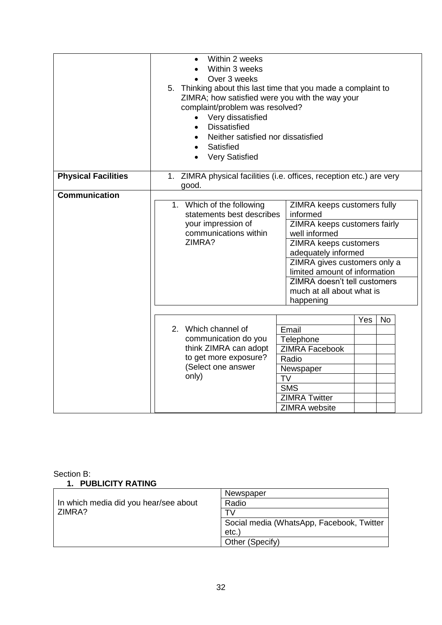|                            | Within 2 weeks<br>$\bullet$<br>Within 3 weeks<br>Over 3 weeks<br>5. Thinking about this last time that you made a complaint to<br>ZIMRA; how satisfied were you with the way your<br>complaint/problem was resolved?<br>Very dissatisfied<br>$\bullet$<br><b>Dissatisfied</b><br>$\bullet$<br>Neither satisfied nor dissatisfied<br>$\bullet$<br>Satisfied<br>$\bullet$<br><b>Very Satisfied</b><br>$\bullet$ |
|----------------------------|---------------------------------------------------------------------------------------------------------------------------------------------------------------------------------------------------------------------------------------------------------------------------------------------------------------------------------------------------------------------------------------------------------------|
| <b>Physical Facilities</b> | 1. ZIMRA physical facilities (i.e. offices, reception etc.) are very<br>good.                                                                                                                                                                                                                                                                                                                                 |
| <b>Communication</b>       | 1. Which of the following<br>ZIMRA keeps customers fully<br>statements best describes<br>informed<br>your impression of<br>ZIMRA keeps customers fairly<br>communications within<br>well informed<br>ZIMRA?<br>ZIMRA keeps customers<br>adequately informed<br>ZIMRA gives customers only a<br>limited amount of information<br>ZIMRA doesn't tell customers<br>much at all about what is<br>happening        |
|                            | Yes<br><b>No</b><br>2. Which channel of<br>Email<br>communication do you<br>Telephone<br>think ZIMRA can adopt<br><b>ZIMRA Facebook</b><br>to get more exposure?<br>Radio<br>(Select one answer<br>Newspaper<br>only)<br><b>TV</b><br><b>SMS</b><br><b>ZIMRA Twitter</b><br><b>ZIMRA</b> website                                                                                                              |

#### Section B: **1. PUBLICITY RATING**

|                                       | Newspaper                                 |
|---------------------------------------|-------------------------------------------|
| In which media did you hear/see about | Radio                                     |
| ZIMRA?                                | τ۷                                        |
|                                       | Social media (WhatsApp, Facebook, Twitter |
|                                       | etc.                                      |
|                                       | Other (Specify)                           |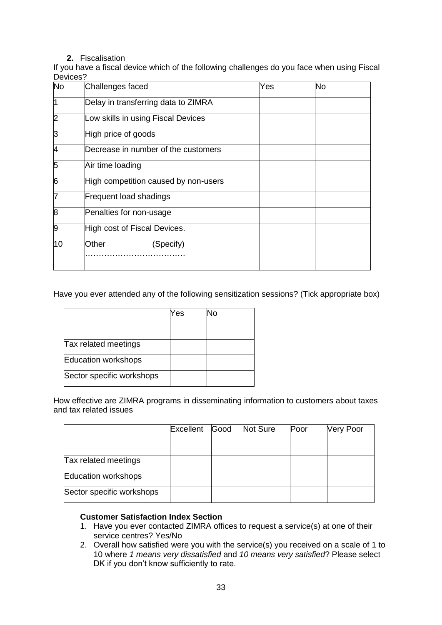#### **2.** Fiscalisation

If you have a fiscal device which of the following challenges do you face when using Fiscal Devices?

| <b>No</b>      | Challenges faced                     | Yes | No |
|----------------|--------------------------------------|-----|----|
| ł1             | Delay in transferring data to ZIMRA  |     |    |
| $\overline{2}$ | Low skills in using Fiscal Devices   |     |    |
| 3              | High price of goods                  |     |    |
| 14             | Decrease in number of the customers  |     |    |
| 5              | Air time loading                     |     |    |
| $\overline{6}$ | High competition caused by non-users |     |    |
| 7              | <b>Frequent load shadings</b>        |     |    |
| 8              | Penalties for non-usage              |     |    |
| 9              | High cost of Fiscal Devices.         |     |    |
| 10             | Other<br>(Specify)                   |     |    |

Have you ever attended any of the following sensitization sessions? (Tick appropriate box)

|                           | Yes | No |
|---------------------------|-----|----|
|                           |     |    |
| Tax related meetings      |     |    |
| Education workshops       |     |    |
| Sector specific workshops |     |    |

How effective are ZIMRA programs in disseminating information to customers about taxes and tax related issues

|                           | Excellent | Good | Not Sure | Poor | <b>Very Poor</b> |
|---------------------------|-----------|------|----------|------|------------------|
|                           |           |      |          |      |                  |
| Tax related meetings      |           |      |          |      |                  |
| Education workshops       |           |      |          |      |                  |
| Sector specific workshops |           |      |          |      |                  |

#### **Customer Satisfaction Index Section**

- 1. Have you ever contacted ZIMRA offices to request a service(s) at one of their service centres? Yes/No
- 2. Overall how satisfied were you with the service(s) you received on a scale of 1 to 10 where *1 means very dissatisfied* and *10 means very satisfied*? Please select DK if you don't know sufficiently to rate.